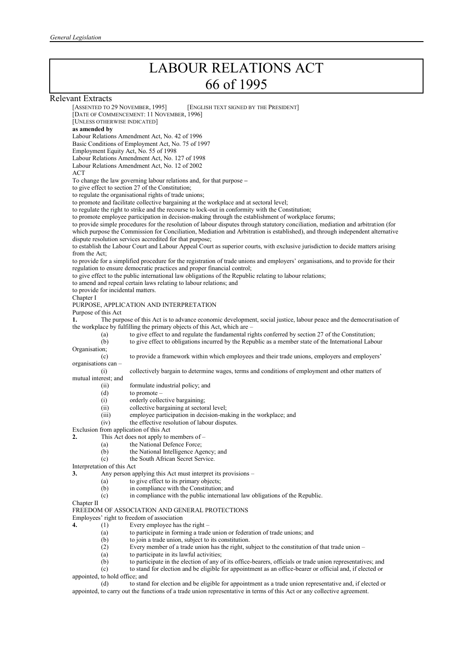## LABOUR RELATIONS ACT 66 of 1995

## Relevant Extracts

[ASSENTED TO 29 NOVEMBER, 1995] [ENGLISH TEXT SIGNED BY THE PRESIDENT] [DATE OF COMMENCEMENT: 11 NOVEMBER, 1996] [UNLESS OTHERWISE INDICATED] **as amended by** Labour Relations Amendment Act, No. 42 of 1996 Basic Conditions of Employment Act, No. 75 of 1997 Employment Equity Act, No. 55 of 1998 Labour Relations Amendment Act, No. 127 of 1998 Labour Relations Amendment Act, No. 12 of 2002 ACT To change the law governing labour relations and, for that purpose **–** to give effect to section 27 of the Constitution; to regulate the organisational rights of trade unions; to promote and facilitate collective bargaining at the workplace and at sectoral level; to regulate the right to strike and the recourse to lock-out in conformity with the Constitution; to promote employee participation in decision-making through the establishment of workplace forums; to provide simple procedures for the resolution of labour disputes through statutory conciliation, mediation and arbitration (for which purpose the Commission for Conciliation, Mediation and Arbitration is established), and through independent alternative dispute resolution services accredited for that purpose; to establish the Labour Court and Labour Appeal Court as superior courts, with exclusive jurisdiction to decide matters arising from the Act; to provide for a simplified procedure for the registration of trade unions and employers' organisations, and to provide for their regulation to ensure democratic practices and proper financial control; to give effect to the public international law obligations of the Republic relating to labour relations; to amend and repeal certain laws relating to labour relations; and to provide for incidental matters. Chapter I PURPOSE, APPLICATION AND INTERPRETATION Purpose of this Act **1.** The purpose of this Act is to advance economic development, social justice, labour peace and the democratisation of the workplace by fulfilling the primary objects of this Act, which are – (a) to give effect to and regulate the fundamental rights conferred by section 27 of the Constitution; (b) to give effect to obligations incurred by the Republic as a member state of the International Labour Organisation; (c) to provide a framework within which employees and their trade unions, employers and employers' organisations can – (i) collectively bargain to determine wages, terms and conditions of employment and other matters of mutual interest; and (ii) formulate industrial policy; and (d) to promote (i) orderly collective bargaining; (ii) collective bargaining at sectoral level; (iii) employee participation in decision-making in the workplace; and (iv) the effective resolution of labour disputes. Exclusion from application of this Act **2.** This Act does not apply to members of – (a) the National Defence Force; (b) the National Intelligence Agency; and (c) the South African Secret Service. Interpretation of this Act **3.** Any person applying this Act must interpret its provisions – (a) to give effect to its primary objects; (b) in compliance with the Constitution; and (c) in compliance with the public international law obligations of the Republic. Chapter II FREEDOM OF ASSOCIATION AND GENERAL PROTECTIONS Employees' right to freedom of association **4.** (1) Every employee has the right – (a) to participate in forming a trade union or federation of trade unions; and (b) to join a trade union, subject to its constitution. (2) Every member of a trade union has the right, subject to the constitution of that trade union – (a) to participate in its lawful activities; (b) to participate in the election of any of its office-bearers, officials or trade union representatives; and (c) to stand for election and be eligible for appointment as an office-bearer or official and, if elected or appointed, to hold office; and

(d) to stand for election and be eligible for appointment as a trade union representative and, if elected or appointed, to carry out the functions of a trade union representative in terms of this Act or any collective agreement.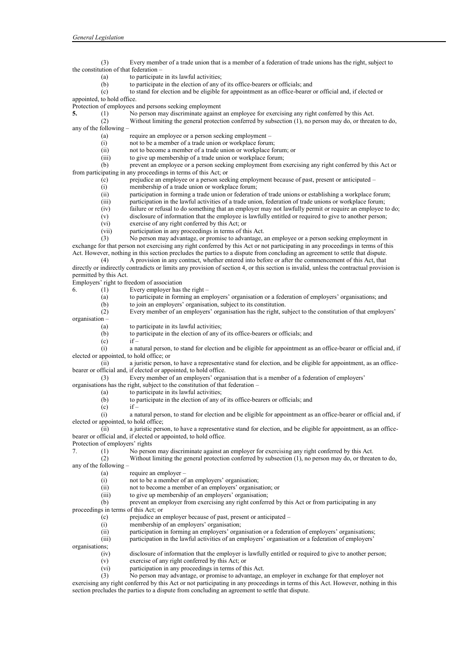(3) Every member of a trade union that is a member of a federation of trade unions has the right, subject to the constitution of that federation –

- (a) to participate in its lawful activities;
- (b) to participate in the election of any of its office-bearers or officials; and (c) to stand for election and be eligible for appointment as an office-bearer
- to stand for election and be eligible for appointment as an office-bearer or official and, if elected or

appointed, to hold office.

Protection of employees and persons seeking employment

- **5.** (1) No person may discriminate against an employee for exercising any right conferred by this Act. (2) Without limiting the general protection conferred by subsection (1), no person may do, or threat
- Without limiting the general protection conferred by subsection  $(1)$ , no person may do, or threaten to do, any of the following –
	- (a) require an employee or a person seeking employment –<br>
	(i) not to be a member of a trade union or workplace forum
	- not to be a member of a trade union or workplace forum;
	- (ii) not to become a member of a trade union or workplace forum; or
	- (iii) to give up membership of a trade union or workplace forum;

(b) prevent an employee or a person seeking employment from exercising any right conferred by this Act or from participating in any proceedings in terms of this Act; or

- (c) prejudice an employee or a person seeking employment because of past, present or anticipated –
- (i) membership of a trade union or workplace forum;
- (ii) participation in forming a trade union or federation of trade unions or establishing a workplace forum;
- (iii) participation in the lawful activities of a trade union, federation of trade unions or workplace forum;
- (iv) failure or refusal to do something that an employer may not lawfully permit or require an employee to do;
- (v) disclosure of information that the employee is lawfully entitled or required to give to another person;
- (vi) exercise of any right conferred by this Act; or
- (vii) participation in any proceedings in terms of this Act.

(3) No person may advantage, or promise to advantage, an employee or a person seeking employment in exchange for that person not exercising any right conferred by this Act or not participating in any proceedings in terms of this Act. However, nothing in this section precludes the parties to a dispute from concluding an agreement to settle that dispute.

(4) A provision in any contract, whether entered into before or after the commencement of this Act, that directly or indirectly contradicts or limits any provision of section 4, or this section is invalid, unless the contractual provision is permitted by this Act.

Employers' right to freedom of association

- 6. (1) Every employer has the right
	-
	- (a) to participate in forming an employers' organisation or a federation of employers' organisations; and
	- (b) to join an employers' organisation, subject to its constitution. (2) Every member of an employers' organisation has the right, subject to the constitution of that employers'
- organisation
	- (a) to participate in its lawful activities;
	- (b) to participate in the election of any of its office-bearers or officials; and
	- $\int_{c}^{c}$  (c) if

(i) a natural person, to stand for election and be eligible for appointment as an office-bearer or official and, if elected or appointed, to hold office; or

(ii) a juristic person, to have a representative stand for election, and be eligible for appointment, as an officebearer or official and, if elected or appointed, to hold office.

(3) Every member of an employers' organisation that is a member of a federation of employers'

organisations has the right, subject to the constitution of that federation –

- (a) to participate in its lawful activities;
- (b) to participate in the election of any of its office-bearers or officials; and
- $(c)$  if

(i) a natural person, to stand for election and be eligible for appointment as an office-bearer or official and, if elected or appointed, to hold office;

(ii) a juristic person, to have a representative stand for election, and be eligible for appointment, as an officebearer or official and, if elected or appointed, to hold office.

Protection of employers' rights

7. (1) No person may discriminate against an employer for exercising any right conferred by this Act.

(2) Without limiting the general protection conferred by subsection (1), no person may do, or threaten to do, any of the following –

- (a) require an employer
	- (i) not to be a member of an employers' organisation;
	- (ii) not to become a member of an employers' organisation; or
- (iii) to give up membership of an employers' organisation;

(b) prevent an employer from exercising any right conferred by this Act or from participating in any

proceedings in terms of this Act; or

- (c) prejudice an employer because of past, present or anticipated –
- (i) membership of an employers' organisation;
	- (ii) participation in forming an employers' organisation or a federation of employers' organisations;
	- (iii) participation in the lawful activities of an employers' organisation or a federation of employers'
- organisations;

(iv) disclosure of information that the employer is lawfully entitled or required to give to another person;

- (v) exercise of any right conferred by this Act; or
- (vi) participation in any proceedings in terms of this Act.

(3) No person may advantage, or promise to advantage, an employer in exchange for that employer not exercising any right conferred by this Act or not participating in any proceedings in terms of this Act. However, nothing in this section precludes the parties to a dispute from concluding an agreement to settle that dispute.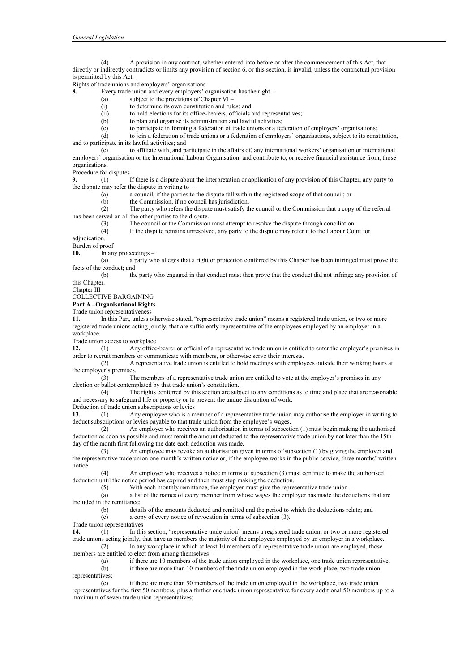(4) A provision in any contract, whether entered into before or after the commencement of this Act, that directly or indirectly contradicts or limits any provision of section 6, or this section, is invalid, unless the contractual provision is permitted by this Act.

Rights of trade unions and employers' organisations<br>8. Every trade union and every employers' or

**8.** Every trade union and every employers' organisation has the right –

- (a) subject to the provisions of Chapter VI
	- (i) to determine its own constitution and rules; and
	- (ii) to hold elections for its office-bearers, officials and representatives;<br>(b) to plan and organise its administration and lawful activities;

to plan and organise its administration and lawful activities;

(c) to participate in forming a federation of trade unions or a federation of employers' organisations;

(d) to join a federation of trade unions or a federation of employers' organisations, subject to its constitution, and to participate in its lawful activities; and

(e) to affiliate with, and participate in the affairs of, any international workers' organisation or international employers' organisation or the International Labour Organisation, and contribute to, or receive financial assistance from, those organisations.

Procedure for disputes<br>9  $(1)$ 

**9.** (1) If there is a dispute about the interpretation or application of any provision of this Chapter, any party to the dispute may refer the dispute in writing to –

(a) a council, if the parties to the dispute fall within the registered scope of that council; or

(b) the Commission, if no council has jurisdiction.

(2) The party who refers the dispute must satisfy the council or the Commission that a copy of the referral has been served on all the other parties to the dispute.

(3) The council or the Commission must attempt to resolve the dispute through conciliation.<br>
(4) If the dispute remains unresolved, any party to the dispute may refer it to the Labour Council

If the dispute remains unresolved, any party to the dispute may refer it to the Labour Court for

adjudication.

Burden of proof<br>10 In an

**10.** In any proceedings –

(a) a party who alleges that a right or protection conferred by this Chapter has been infringed must prove the facts of the conduct; and

(b) the party who engaged in that conduct must then prove that the conduct did not infringe any provision of this Chapter.

Chapter III

## COLLECTIVE BARGAINING

**Part A –Organisational Rights**

Trade union representativeness

**11.** In this Part, unless otherwise stated, "representative trade union" means a registered trade union, or two or more registered trade unions acting jointly, that are sufficiently representative of the employees employed by an employer in a workplace.

Trade union access to workplace

**12.** (1) Any office-bearer or official of a representative trade union is entitled to enter the employer's premises in order to recruit members or communicate with members, or otherwise serve their interests.

(2) A representative trade union is entitled to hold meetings with employees outside their working hours at the employer's premises.

(3) The members of a representative trade union are entitled to vote at the employer's premises in any election or ballot contemplated by that trade union's constitution.

(4) The rights conferred by this section are subject to any conditions as to time and place that are reasonable and necessary to safeguard life or property or to prevent the undue disruption of work.

Deduction of trade union subscriptions or levies

**13.** (1) Any employee who is a member of a representative trade union may authorise the employer in writing to deduct subscriptions or levies payable to that trade union from the employee's wages.

(2) An employer who receives an authorisation in terms of subsection (1) must begin making the authorised deduction as soon as possible and must remit the amount deducted to the representative trade union by not later than the 15th

day of the month first following the date each deduction was made.<br>(3) An employee may revoke an authorisation gives An employee may revoke an authorisation given in terms of subsection  $(1)$  by giving the employer and the representative trade union one month's written notice or, if the employee works in the public service, three months' written notice.

(4) An employer who receives a notice in terms of subsection (3) must continue to make the authorised deduction until the notice period has expired and then must stop making the deduction.

(5) With each monthly remittance, the employer must give the representative trade union –

(a) a list of the names of every member from whose wages the employer has made the deductions that are included in the remittance;

(b) details of the amounts deducted and remitted and the period to which the deductions relate; and (c) a copy of every notice of revocation in terms of subsection (3).

Trade union representatives

**14.** (1) In this section, "representative trade union" means a registered trade union, or two or more registered trade unions acting jointly, that have as members the majority of the employees employed by an employer in a workplace. (2) In any workplace in which at least 10 members of a representative trade union are employed, those

members are entitled to elect from among themselves –

(a) if there are 10 members of the trade union employed in the workplace, one trade union representative;

(b) if there are more than 10 members of the trade union employed in the work place, two trade union

representatives;

(c) if there are more than 50 members of the trade union employed in the workplace, two trade union representatives for the first 50 members, plus a further one trade union representative for every additional 50 members up to a maximum of seven trade union representatives;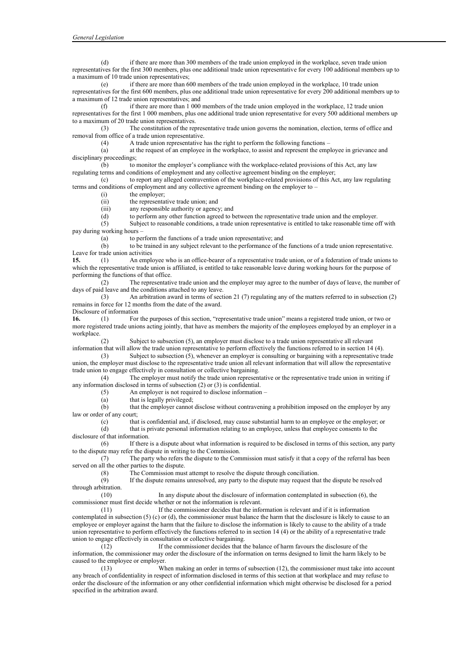(d) if there are more than 300 members of the trade union employed in the workplace, seven trade union representatives for the first 300 members, plus one additional trade union representative for every 100 additional members up to a maximum of 10 trade union representatives;

(e) if there are more than 600 members of the trade union employed in the workplace, 10 trade union representatives for the first 600 members, plus one additional trade union representative for every 200 additional members up to a maximum of 12 trade union representatives; and

(f) if there are more than 1 000 members of the trade union employed in the workplace, 12 trade union representatives for the first 1 000 members, plus one additional trade union representative for every 500 additional members up to a maximum of 20 trade union representatives.

(3) The constitution of the representative trade union governs the nomination, election, terms of office and removal from office of a trade union representative.<br>(4) A trade union representative

(4) A trade union representative has the right to perform the following functions –  $\alpha$  at the request of an employee in the workplace, to assist and represent the emp

at the request of an employee in the workplace, to assist and represent the employee in grievance and disciplinary proceedings;

(b) to monitor the employer's compliance with the workplace-related provisions of this Act, any law regulating terms and conditions of employment and any collective agreement binding on the employer;

(c) to report any alleged contravention of the workplace-related provisions of this Act, any law regulating terms and conditions of employment and any collective agreement binding on the employer to –

- (i) the employer;
- (ii) the representative trade union; and
- (iii) any responsible authority or agency; and<br>(d) to perform any other function agreed to b

to perform any other function agreed to between the representative trade union and the employer.

(5) Subject to reasonable conditions, a trade union representative is entitled to take reasonable time off with pay during working hours –

(a) to perform the functions of a trade union representative; and

(b) to be trained in any subject relevant to the performance of the functions of a trade union representative.

Leave for trade union activities<br>15. (1) An empl **15.** (1) An employee who is an office-bearer of a representative trade union, or of a federation of trade unions to which the representative trade union is affiliated, is entitled to take reasonable leave during working hours for the purpose of performing the functions of that office.

(2) The representative trade union and the employer may agree to the number of days of leave, the number of days of paid leave and the conditions attached to any leave.

(3) An arbitration award in terms of section 21 (7) regulating any of the matters referred to in subsection (2) remains in force for 12 months from the date of the award.

Disclosure of information

**16.** (1) For the purposes of this section, "representative trade union" means a registered trade union, or two or more registered trade unions acting jointly, that have as members the majority of the employees employed by an employer in a workplace.

(2) Subject to subsection (5), an employer must disclose to a trade union representative all relevant information that will allow the trade union representative to perform effectively the functions referred to in section 14 (4).

(3) Subject to subsection (5), whenever an employer is consulting or bargaining with a representative trade union, the employer must disclose to the representative trade union all relevant information that will allow the representative trade union to engage effectively in consultation or collective bargaining.

(4) The employer must notify the trade union representative or the representative trade union in writing if any information disclosed in terms of subsection (2) or (3) is confidential.

(5) An employer is not required to disclose information –

(a) that is legally privileged;

(b) that the employer cannot disclose without contravening a prohibition imposed on the employer by any law or order of any court;

(c) that is confidential and, if disclosed, may cause substantial harm to an employee or the employer; or

(d) that is private personal information relating to an employee, unless that employee consents to the disclosure of that information.

(6) If there is a dispute about what information is required to be disclosed in terms of this section, any party to the dispute may refer the dispute in writing to the Commission.

(7) The party who refers the dispute to the Commission must satisfy it that a copy of the referral has been served on all the other parties to the dispute.

(8) The Commission must attempt to resolve the dispute through conciliation.

(9) If the dispute remains unresolved, any party to the dispute may request that the dispute be resolved through arbitration.

(10) In any dispute about the disclosure of information contemplated in subsection (6), the commissioner must first decide whether or not the information is relevant.<br>(11) If the commissioner decides that the info

If the commissioner decides that the information is relevant and if it is information contemplated in subsection  $(5)$  (c) or  $(d)$ , the commissioner must balance the harm that the disclosure is likely to cause to an employee or employer against the harm that the failure to disclose the information is likely to cause to the ability of a trade union representative to perform effectively the functions referred to in section 14 (4) or the ability of a representative trade union to engage effectively in consultation or collective bargaining.

 $(12)$  If the commissioner decides that the balance of harm favours the disclosure of the information, the commissioner may order the disclosure of the information on terms designed to limit the harm likely to be caused to the employee or employer.

(13) When making an order in terms of subsection (12), the commissioner must take into account any breach of confidentiality in respect of information disclosed in terms of this section at that workplace and may refuse to order the disclosure of the information or any other confidential information which might otherwise be disclosed for a period specified in the arbitration award.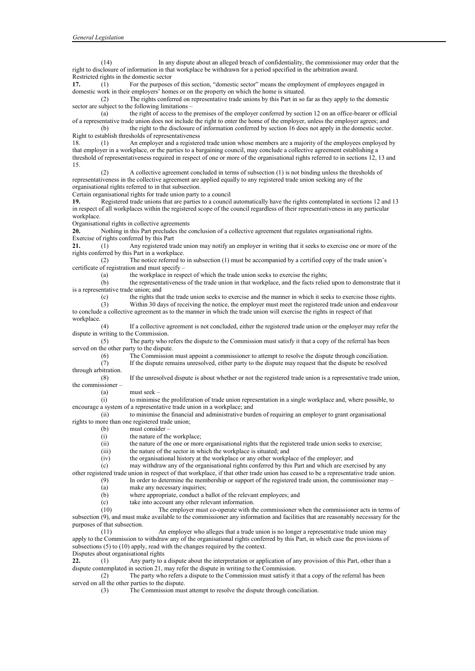(14) In any dispute about an alleged breach of confidentiality, the commissioner may order that the right to disclosure of information in that workplace be withdrawn for a period specified in the arbitration award. Restricted rights in the domestic sector

**17.** (1) For the purposes of this section, "domestic sector" means the employment of employees engaged in domestic work in their employers' homes or on the property on which the home is situated.<br>(2) The rights conferred on representative trade unions by this Part in so

The rights conferred on representative trade unions by this Part in so far as they apply to the domestic sector are subject to the following limitations –

(a) the right of access to the premises of the employer conferred by section 12 on an office-bearer or official of a representative trade union does not include the right to enter the home of the employer, unless the employer agrees; and

(b) the right to the disclosure of information conferred by section 16 does not apply in the domestic sector. Right to establish thresholds of representativeness<br>18. (1) An employer and a registere

An employer and a registered trade union whose members are a majority of the employees employed by that employer in a workplace, or the parties to a bargaining council, may conclude a collective agreement establishing a threshold of representativeness required in respect of one or more of the organisational rights referred to in sections 12, 13 and 15.

(2) A collective agreement concluded in terms of subsection (1) is not binding unless the thresholds of representativeness in the collective agreement are applied equally to any registered trade union seeking any of the organisational rights referred to in that subsection.

Certain organisational rights for trade union party to a council

**19.** Registered trade unions that are parties to a council automatically have the rights contemplated in sections 12 and 13 in respect of all workplaces within the registered scope of the council regardless of their representativeness in any particular workplace.

Organisational rights in collective agreements<br>20. Nothing in this Part precludes the c

**20.** Nothing in this Part precludes the conclusion of a collective agreement that regulates organisational rights. Exercise of rights conferred by this Part

**21.** (1) Any registered trade union may notify an employer in writing that it seeks to exercise one or more of the rights conferred by this Part in a workplace.

(2) The notice referred to in subsection (1) must be accompanied by a certified copy of the trade union's certificate of registration and must specify –

(a) the workplace in respect of which the trade union seeks to exercise the rights;<br>(b) the representativeness of the trade union in that workplace, and the facts relies

the representativeness of the trade union in that workplace, and the facts relied upon to demonstrate that it is a representative trade union; and

(c) the rights that the trade union seeks to exercise and the manner in which it seeks to exercise those rights.

(3) Within 30 days of receiving the notice, the employer must meet the registered trade union and endeavour to conclude a collective agreement as to the manner in which the trade union will exercise the rights in respect of that workplace.

(4) If a collective agreement is not concluded, either the registered trade union or the employer may refer the dispute in writing to the Commission.

(5) The party who refers the dispute to the Commission must satisfy it that a copy of the referral has been served on the other party to the dispute.

(6) The Commission must appoint a commissioner to attempt to resolve the dispute through conciliation. (7) If the dispute remains unresolved, either party to the dispute may request that the dispute be resolved through arbitration.

(8) If the unresolved dispute is about whether or not the registered trade union is a representative trade union, the commissioner –

(a) must seek –

(i) to minimise the proliferation of trade union representation in a single workplace and, where possible, to encourage a system of a representative trade union in a workplace; and

(ii) to minimise the financial and administrative burden of requiring an employer to grant organisational rights to more than one registered trade union;

- (b) must consider –
- (i) the nature of the workplace;

(ii) the nature of the one or more organisational rights that the registered trade union seeks to exercise;

(iii) the nature of the sector in which the workplace is situated; and

(iv) the organisational history at the workplace or any other workplace of the employer; and

(c) may withdraw any of the organisational rights conferred by this Part and which are exercised by any

other registered trade union in respect of that workplace, if that other trade union has ceased to be a representative trade union. (9) In order to determine the membership or support of the registered trade union, the commissioner may –

(a) make any necessary inquiries;

(b) where appropriate, conduct a ballot of the relevant employees; and

(c) take into account any other relevant information.

(10) The employer must co-operate with the commissioner when the commissioner acts in terms of subsection (9), and must make available to the commissioner any information and facilities that are reasonably necessary for the purposes of that subsection.

(11) An employer who alleges that a trade union is no longer a representative trade union may apply to the Commission to withdraw any of the organisational rights conferred by this Part, in which case the provisions of subsections (5) to (10) apply, read with the changes required by the context.

Disputes about organisational rights

**22.** (1) Any party to a dispute about the interpretation or application of any provision of this Part, other than a dispute contemplated in section 21, may refer the dispute in writing to the Commission.

(2) The party who refers a dispute to the Commission must satisfy it that a copy of the referral has been served on all the other parties to the dispute.

(3) The Commission must attempt to resolve the dispute through conciliation.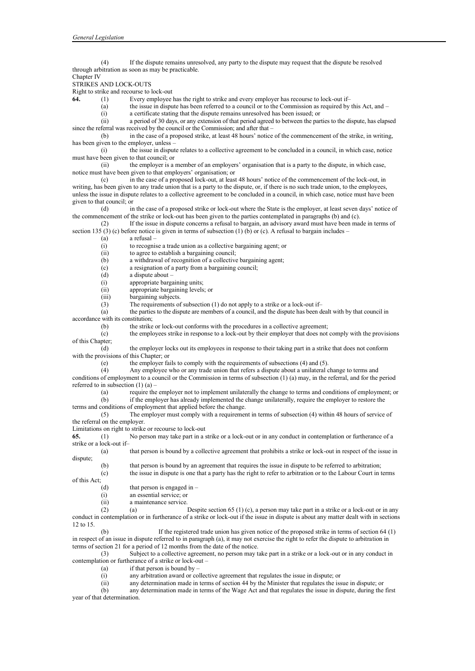(4) If the dispute remains unresolved, any party to the dispute may request that the dispute be resolved through arbitration as soon as may be practicable.

Chanter IV

STRIKES AND LOCK-OUTS

Right to strike and recourse to lock-out  $64.$  (1) Every employee

Every employee has the right to strike and every employer has recourse to lock-out if-

(a) the issue in dispute has been referred to a council or to the Commission as required by this Act, and –

(i) a certificate stating that the dispute remains unresolved has been issued; or

 $(iii)$  a period of 30 days, or any extension of that period agreed to between the parties to the dispute, has elapsed since the referral was received by the council or the Commission: and after that –

(b) in the case of a proposed strike, at least 48 hours' notice of the commencement of the strike, in writing, has been given to the employer, unless –

(i) the issue in dispute relates to a collective agreement to be concluded in a council, in which case, notice must have been given to that council; or

(ii) the employer is a member of an employers' organisation that is a party to the dispute, in which case, notice must have been given to that employers' organisation; or

(c) in the case of a proposed lock-out, at least 48 hours' notice of the commencement of the lock-out, in writing, has been given to any trade union that is a party to the dispute, or, if there is no such trade union, to the employees, unless the issue in dispute relates to a collective agreement to be concluded in a council, in which case, notice must have been given to that council; or

(d) in the case of a proposed strike or lock-out where the State is the employer, at least seven days' notice of the commencement of the strike or lock-out has been given to the parties contemplated in paragraphs (b) and (c).

(2) If the issue in dispute concerns a refusal to bargain, an advisory award must have been made in terms of section 135 (3) (c) before notice is given in terms of subsection (1) (b) or (c). A refusal to bargain includes before notice is given in terms of subsection (1) (b) or (c). A refusal to bargain includes –

(a) a refusal –

(i) to recognise a trade union as a collective bargaining agent; or

(ii) to agree to establish a bargaining council;

(b) a withdrawal of recognition of a collective bargaining agent;

(c) a resignation of a party from a bargaining council;

(d) a dispute about –

(i) appropriate bargaining units;

(ii) appropriate bargaining levels; or

(iii) bargaining subjects.

(3) The requirements of subsection (1) do not apply to a strike or a lock-out if–

(a) the parties to the dispute are members of a council, and the dispute has been dealt with by that council in accordance with its constitution;

(b) the strike or lock-out conforms with the procedures in a collective agreement;

(c) the employees strike in response to a lock-out by their employer that does not comply with the provisions of this Chapter;

(d) the employer locks out its employees in response to their taking part in a strike that does not conform with the provisions of this Chapter; or

(e) the employer fails to comply with the requirements of subsections (4) and (5).

(4) Any employee who or any trade union that refers a dispute about a unilateral change to terms and conditions of employment to a council or the Commission in terms of subsection (1) (a) may, in the referral, and for the period referred to in subsection  $(1)$   $(a)$  –

(a) require the employer not to implement unilaterally the change to terms and conditions of employment; or

(b) if the employer has already implemented the change unilaterally, require the employer to restore the terms and conditions of employment that applied before the change.

(5) The employer must comply with a requirement in terms of subsection (4) within 48 hours of service of the referral on the employer.

Limitations on right to strike or recourse to lock-out

**65.** (1) No person may take part in a strike or a lock-out or in any conduct in contemplation or furtherance of a strike or a lock-out if–

(a) that person is bound by a collective agreement that prohibits a strike or lock-out in respect of the issue in dispute;

(b) that person is bound by an agreement that requires the issue in dispute to be referred to arbitration; (c) the issue in dispute is one that a party has the right to refer to arbitration or to the Labour Court in terms

of this Act;

(d) that person is engaged in –

(i) an essential service; or

(ii) a maintenance service.

(2) (a) Despite section 65 (1) (c), a person may take part in a strike or a lock-out or in any conduct in contemplation or in furtherance of a strike or lock-out if the issue in dispute is about any matter dealt with in sections 12 to 15.

(b) If the registered trade union has given notice of the proposed strike in terms of section 64 (1) in respect of an issue in dispute referred to in paragraph (a), it may not exercise the right to refer the dispute to arbitration in terms of section 21 for a period of 12 months from the date of the notice.

(3) Subject to a collective agreement, no person may take part in a strike or a lock-out or in any conduct in contemplation or furtherance of a strike or lock-out –

(a) if that person is bound by –

(i) any arbitration award or collective agreement that regulates the issue in dispute; or

(ii) any determination made in terms of section 44 by the Minister that regulates the issue in dispute; or

(b) any determination made in terms of the Wage Act and that regulates the issue in dispute, during the first year of that determination.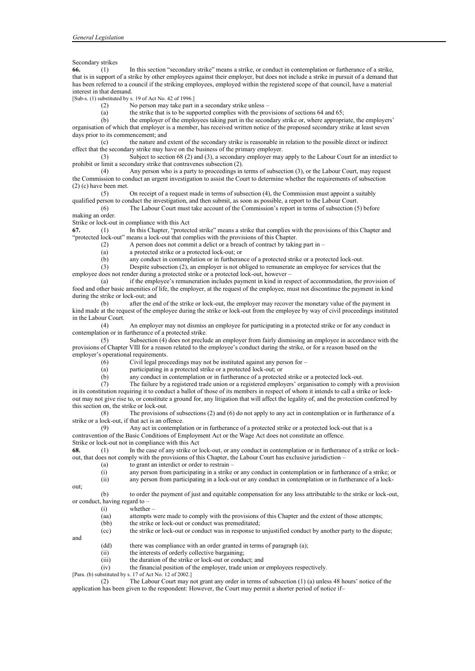Secondary strikes

**66.** (1) In this section "secondary strike" means a strike, or conduct in contemplation or furtherance of a strike, that is in support of a strike by other employees against their employer, but does not include a strike in pursuit of a demand that has been referred to a council if the striking employees, employed within the registered scope of that council, have a material interest in that demand.

- [Sub-s. (1) substituted by s. 19 of Act No. 42 of 1996.]
	- (2) No person may take part in a secondary strike unless –
	- $\alpha$  the strike that is to be supported complies with the provisions of sections 64 and 65;

(b) the employer of the employees taking part in the secondary strike or, where appropriate, the employers' organisation of which that employer is a member, has received written notice of the proposed secondary strike at least seven days prior to its commencement; and

(c) the nature and extent of the secondary strike is reasonable in relation to the possible direct or indirect effect that the secondary strike may have on the business of the primary employer.

(3) Subject to section 68 (2) and (3), a secondary employer may apply to the Labour Court for an interdict to prohibit or limit a secondary strike that contravenes subsection (2).

(4) Any person who is a party to proceedings in terms of subsection (3), or the Labour Court, may request the Commission to conduct an urgent investigation to assist the Court to determine whether the requirements of subsection (2) (c) have been met.

(5) On receipt of a request made in terms of subsection (4), the Commission must appoint a suitably qualified person to conduct the investigation, and then submit, as soon as possible, a report to the Labour Court.

(6) The Labour Court must take account of the Commission's report in terms of subsection (5) before making an order.

Strike or lock-out in compliance with this Act

**67.** (1) In this Chapter, "protected strike" means a strike that complies with the provisions of this Chapter and "protected lock-out" means a lock-out that complies with the provisions of this Chapter. means a lock-out that complies with the provisions of this Chapter.

- (2) A person does not commit a delict or a breach of contract by taking part in
	- (a) a protected strike or a protected lock-out; or
	- (b) any conduct in contemplation or in furtherance of a protected strike or a protected lock-out.

(3) Despite subsection (2), an employer is not obliged to remunerate an employee for services that the

employee does not render during a protected strike or a protected lock-out, however –

(a) if the employee's remuneration includes payment in kind in respect of accommodation, the provision of food and other basic amenities of life, the employer, at the request of the employee, must not discontinue the payment in kind during the strike or lock-out; and

(b) after the end of the strike or lock-out, the employer may recover the monetary value of the payment in kind made at the request of the employee during the strike or lock-out from the employee by way of civil proceedings instituted in the Labour Court.

(4) An employer may not dismiss an employee for participating in a protected strike or for any conduct in contemplation or in furtherance of a protected strike.

(5) Subsection (4) does not preclude an employer from fairly dismissing an employee in accordance with the provisions of Chapter VIII for a reason related to the employee's conduct during the strike, or for a reason based on the employer's operational requirements.

 $(6)$  Civil legal proceedings may not be instituted against any person for –

(a) participating in a protected strike or a protected lock-out; or

(b) any conduct in contemplation or in furtherance of a protected strike or a protected lock-out.

(7) The failure by a registered trade union or a registered employers' organisation to comply with a provision in its constitution requiring it to conduct a ballot of those of its members in respect of whom it intends to call a strike or lockout may not give rise to, or constitute a ground for, any litigation that will affect the legality of, and the protection conferred by this section on, the strike or lock-out.

(8) The provisions of subsections (2) and (6) do not apply to any act in contemplation or in furtherance of a strike or a lock-out, if that act is an offence.

(9) Any act in contemplation or in furtherance of a protected strike or a protected lock-out that is a contravention of the Basic Conditions of Employment Act or the Wage Act does not constitute an offence. Strike or lock-out not in compliance with this Act

**68.** (1) In the case of any strike or lock-out, or any conduct in contemplation or in furtherance of a strike or lockout, that does not comply with the provisions of this Chapter, the Labour Court has exclusive jurisdiction –

(a) to grant an interdict or order to restrain –

(i) any person from participating in a strike or any conduct in contemplation or in furtherance of a strike; or

- (ii) any person from participating in a lock-out or any conduct in contemplation or in furtherance of a lock-
- out;

(b) to order the payment of just and equitable compensation for any loss attributable to the strike or lock-out, or conduct, having regard to –

(i) whether –

(aa) attempts were made to comply with the provisions of this Chapter and the extent of those attempts;

- (bb) the strike or lock-out or conduct was premeditated;
- (cc) the strike or lock-out or conduct was in response to unjustified conduct by another party to the dispute;

and

- (dd) there was compliance with an order granted in terms of paragraph (a);<br>(ii) the interests of orderly collective bargaining;
- the interests of orderly collective bargaining;
- (iii) the duration of the strike or lock-out or conduct; and
- (iv) the financial position of the employer, trade union or employees respectively.<br>[Para. (b) substituted by s. 17 of Act No. 12 of 2002.]

s. 17 of Act No. 12 of 2002.]

(2) The Labour Court may not grant any order in terms of subsection (1) (a) unless 48 hours' notice of the application has been given to the respondent: However, the Court may permit a shorter period of notice if–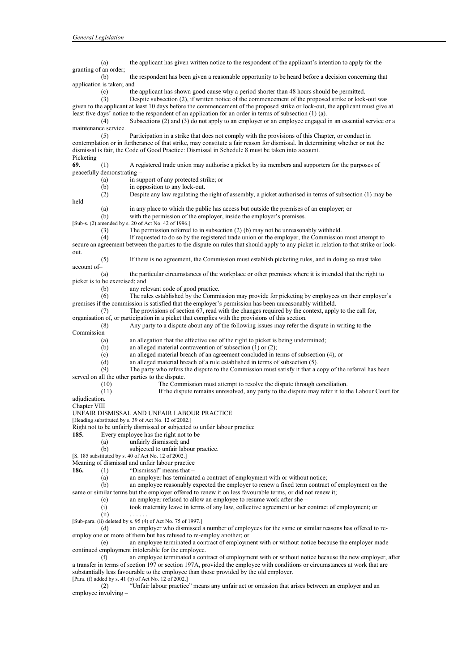(a) the applicant has given written notice to the respondent of the applicant's intention to apply for the granting of an order;<br>(b) (b) the respondent has been given a reasonable opportunity to be heard before a decision concerning that application is taken; and  $(c)$  th the applicant has shown good cause why a period shorter than 48 hours should be permitted. (3) Despite subsection (2), if written notice of the commencement of the proposed strike or lock-out was given to the applicant at least 10 days before the commencement of the proposed strike or lock-out, the applicant must give at least five days' notice to the respondent of an application for an order in terms of subsection (1) (a). (4) Subsections (2) and (3) do not apply to an employer or an employee engaged in an essential service or a maintenance service. (5) Participation in a strike that does not comply with the provisions of this Chapter, or conduct in contemplation or in furtherance of that strike, may constitute a fair reason for dismissal. In determining whether or not the dismissal is fair, the Code of Good Practice: Dismissal in Schedule 8 must be taken into account. Picketing **69.** (1) A registered trade union may authorise a picket by its members and supporters for the purposes of peacefully demonstrating – (a) in support of any protected strike; or (b) in opposition to any lock-out. (2) Despite any law regulating the right of assembly, a picket authorised in terms of subsection (1) may be held – (a) in any place to which the public has access but outside the premises of an employer; or (b) with the permission of the employer, inside the employer's premises. [Sub-s. (2) amended by s. 20 of Act No. 42 of 1996.] (3) The permission referred to in subsection (2) (b) may not be unreasonably withheld. (4) If requested to do so by the registered trade union or the employer, the Commission must attempt to secure an agreement between the parties to the dispute on rules that should apply to any picket in relation to that strike or lockout. (5) If there is no agreement, the Commission must establish picketing rules, and in doing so must take account of– (a) the particular circumstances of the workplace or other premises where it is intended that the right to picket is to be exercised; and (b) any relevant code of good practice. (6) The rules established by the Commission may provide for picketing by employees on their employer's premises if the commission is satisfied that the employer's permission has been unreasonably withheld. (7) The provisions of section 67, read with the changes required by the context, apply to the call for, organisation of, or participation in a picket that complies with the provisions of this section. (8) Any party to a dispute about any of the following issues may refer the dispute in writing to the Commission – (a) an allegation that the effective use of the right to picket is being undermined; (b) an alleged material contravention of subsection (1) or (2); (c) an alleged material breach of an agreement concluded in terms of subsection (4); or (d) an alleged material breach of a rule established in terms of subsection (5).  $(9)$  The party who refers the dispute to the Commission must satisfy it that a copy of the referral has been served on all the other parties to the dispute. (10) The Commission must attempt to resolve the dispute through conciliation. (11) If the dispute remains unresolved, any party to the dispute may refer it to the Labour Court for adjudication. Chapter VIII UNFAIR DISMISSAL AND UNFAIR LABOUR PRACTICE [Heading substituted by s. 39 of Act No. 12 of 2002.] Right not to be unfairly dismissed or subjected to unfair labour practice **185.** Every employee has the right not to be – (a) unfairly dismissed; and (b) subjected to unfair labour practice. [S. 185 substituted by s. 40 of Act No. 12 of 2002.] Meaning of dismissal and unfair labour practice 186. (1) "Dismissal" means that – (a) an employer has terminated a contract of employment with or without notice; (b) an employee reasonably expected the employer to renew a fixed term contract of employment on the same or similar terms but the employer offered to renew it on less favourable terms, or did not renew it; (c) an employer refused to allow an employee to resume work after she – (i) took maternity leave in terms of any law, collective agreement or her contract of employment; or  $(ii)$  ...... [Sub-para. (ii) deleted by s. 95 (4) of Act No. 75 of 1997.] (d) an employer who dismissed a number of employees for the same or similar reasons has offered to reemploy one or more of them but has refused to re-employ another; or (e) an employee terminated a contract of employment with or without notice because the employer made continued employment intolerable for the employee. (f) an employee terminated a contract of employment with or without notice because the new employer, after a transfer in terms of section 197 or section 197A, provided the employee with conditions or circumstances at work that are

substantially less favourable to the employee than those provided by the old employer.

[Para. (f) added by s. 41 (b) of Act No. 12 of 2002.]

(2) "Unfair labour practice" means any unfair act or omission that arises between an employer and an employee involving –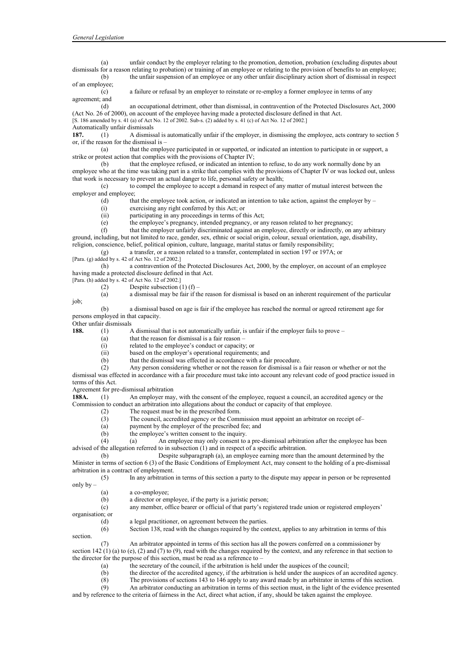(a) unfair conduct by the employer relating to the promotion, demotion, probation (excluding disputes about dismissals for a reason relating to probation) or training of an employee or relating to the provision of benefits to an employee; (b) the unfair suspension of an employee or any other unfair disciplinary action short of dismissal in respect

of an employee; agreement; and

(c) a failure or refusal by an employer to reinstate or re-employ a former employee in terms of any

(d) an occupational detriment, other than dismissal, in contravention of the Protected Disclosures Act, 2000 (Act No. 26 of 2000), on account of the employee having made a protected disclosure defined in that Act. [S. 186 amended by s. 41 (a) of Act No. 12 of 2002. Sub-s. (2) added by s. 41 (c) of Act No. 12 of 2002.]

Automatically unfair dismissals<br>187. (1) A dismiss

**187.** (1) A dismissal is automatically unfair if the employer, in dismissing the employee, acts contrary to section 5 or, if the reason for the dismissal is –

(a) that the employee participated in or supported, or indicated an intention to participate in or support, a strike or protest action that complies with the provisions of Chapter IV;

(b) that the employee refused, or indicated an intention to refuse, to do any work normally done by an employee who at the time was taking part in a strike that complies with the provisions of Chapter IV or was locked out, unless that work is necessary to prevent an actual danger to life, personal safety or health;

(c) to compel the employee to accept a demand in respect of any matter of mutual interest between the employer and employee;

(d) that the employee took action, or indicated an intention to take action, against the employer by –

(i) exercising any right conferred by this Act; or

(ii) participating in any proceedings in terms of this Act;

(e) the employee's pregnancy, intended pregnancy, or any reason related to her pregnancy;

(f) that the employer unfairly discriminated against an employee, directly or indirectly, on any arbitrary ground, including, but not limited to race, gender, sex, ethnic or social origin, colour, sexual orientation, age, disability,

religion, conscience, belief, political opinion, culture, language, marital status or family responsibility;

(g) a transfer, or a reason related to a transfer, contemplated in section 197 or 197A; or [Para. (g) added by s. 42 of Act No. 12 of 2002.]

ded by s. 42 of Act No.  $(12 \text{ of } 2002.$ ]<br>(h) a contravention of the a contravention of the Protected Disclosures Act, 2000, by the employer, on account of an employee having made a protected disclosure defined in that Act.

- [Para. (h) added by s. 42 of Act No. 12 of 2002.]
	- (2) Despite subsection  $(1)$  (f) –
- (a) a dismissal may be fair if the reason for dismissal is based on an inherent requirement of the particular job;

(b) a dismissal based on age is fair if the employee has reached the normal or agreed retirement age for persons employed in that capacity.

Other unfair dismissals

188. (1) A dismissal that is not automatically unfair, is unfair if the employer fails to prove –

(a) that the reason for dismissal is a fair reason –

(i) related to the employee's conduct or capacity; or <br>(ii) based on the employer's operational requirement

- (ii) based on the employer's operational requirements; and<br>
(b) that the dismissal was effected in accordance with a fail
- that the dismissal was effected in accordance with a fair procedure.
- (2) Any person considering whether or not the reason for dismissal is a fair reason or whether or not the

dismissal was effected in accordance with a fair procedure must take into account any relevant code of good practice issued in terms of this Act.

Agreement for pre-dismissal arbitration

**188A.** (1) An employer may, with the consent of the employee, request a council, an accredited agency or the Commission to conduct an arbitration into allegations about the conduct or capacity of that employee.

- (2) The request must be in the prescribed form.
- (3) The council, accredited agency or the Commission must appoint an arbitrator on receipt of–

(a) payment by the employer of the prescribed fee; and (b) the employee's written consent to the inquiry.

the employee's written consent to the inquiry.

(4) (a) An employee may only consent to a pre-dismissal arbitration after the employee has been advised of the allegation referred to in subsection (1) and in respect of a specific arbitration.

(b) Despite subparagraph (a), an employee earning more than the amount determined by the Minister in terms of section 6 (3) of the Basic Conditions of Employment Act, may consent to the holding of a pre-dismissal arbitration in a contract of employment.

(5) In any arbitration in terms of this section a party to the dispute may appear in person or be represented only by –

- (a) a co-employee;
- (b) a director or employee, if the party is a juristic person;
- (c) any member, office bearer or official of that party's registered trade union or registered employers'
- organisation; or
	- (d) a legal practitioner, on agreement between the parties.

(6) Section 138, read with the changes required by the context, applies to any arbitration in terms of this section.

(7) An arbitrator appointed in terms of this section has all the powers conferred on a commissioner by section 142 (1) (a) to (e), (2) and (7) to (9), read with the changes required by the context, and any reference in that section to the director for the purpose of this section, must be read as a reference to –

- (a) the secretary of the council, if the arbitration is held under the auspices of the council;
- (b) the director of the accredited agency, if the arbitration is held under the auspices of an accredited agency.
- (8) The provisions of sections 143 to 146 apply to any award made by an arbitrator in terms of this section.

(9) An arbitrator conducting an arbitration in terms of this section must, in the light of the evidence presented and by reference to the criteria of fairness in the Act, direct what action, if any, should be taken against the employee.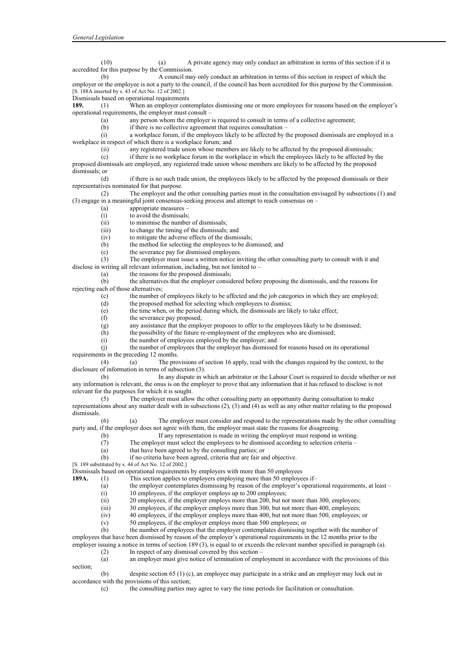(10) (a) A private agency may only conduct an arbitration in terms of this section if it is accredited for this purpose by the Commission.

(b) A council may only conduct an arbitration in terms of this section in respect of which the employer or the employee is not a party to the council, if the council has been accredited for this purpose by the Commission. [S. 188A inserted by s. 43 of Act No. 12 of 2002.]

Dismissals based on operational requirements<br>189 (1) When an employer contains

**189.** (1) When an employer contemplates dismissing one or more employees for reasons based on the employer's operational requirements, the employer must consult –

(a) any person whom the employer is required to consult in terms of a collective agreement;

 $(b)$  if there is no collective agreement that requires consultation –

 $(i)$  a workplace forum, if the employees likely to be affected by the proposed dismissals are employed in a workplace in respect of which there is a workplace forum; and

(ii) any registered trade union whose members are likely to be affected by the proposed dismissals;

(c) if there is no workplace forum in the workplace in which the employees likely to be affected by the proposed dismissals are employed, any registered trade union whose members are likely to be affected by the proposed

dismissals; or

(d) if there is no such trade union, the employees likely to be affected by the proposed dismissals or their representatives nominated for that purpose.

(2) The employer and the other consulting parties must in the consultation envisaged by subsections (1) and (3) engage in a meaningful joint consensus-seeking process and attempt to reach consensus on –

- (a) appropriate measures –
- (i) to avoid the dismissals;
- (ii) to minimise the number of dismissals;
- (iii) to change the timing of the dismissals; and
- (iv) to mitigate the adverse effects of the dismissals;
- (b) the method for selecting the employees to be dismissed; and
- (c) the severance pay for dismissed employees.

(3) The employer must issue a written notice inviting the other consulting party to consult with it and disclose in writing all relevant information, including, but not limited to –

(a) the reasons for the proposed dismissals;

(b) the alternatives that the employer considered before proposing the dismissals, and the reasons for rejecting each of those alternatives;

(c) the number of employees likely to be affected and the job categories in which they are employed;

(d) the proposed method for selecting which employees to dismiss; (e) the time when, or the period during which, the dismissals are likely to take effect;

- (f) the severance pay proposed;
- (g) any assistance that the employer proposes to offer to the employees likely to be dismissed;
- (h) the possibility of the future re-employment of the employees who are dismissed;

(i) the number of employees employed by the employer; and

(j) the number of employees that the employer has dismissed for reasons based on its operational

requirements in the preceding 12 months.<br>(4) (a) The pro (4) (a) The provisions of section 16 apply, read with the changes required by the context, to the disclosure of information in terms of subsection (3).

(b) In any dispute in which an arbitrator or the Labour Court is required to decide whether or not any information is relevant, the onus is on the employer to prove that any information that it has refused to disclose is not relevant for the purposes for which it is sought.

(5) The employer must allow the other consulting party an opportunity during consultation to make representations about any matter dealt with in subsections (2), (3) and (4) as well as any other matter relating to the proposed dismissals.

(6) (a) The employer must consider and respond to the representations made by the other consulting party and, if the employer does not agree with them, the employer must state the reasons for disagreeing.

- (b) If any representation is made in writing the employer must respond in writing.
- $(7)$  The employer must select the employees to be dismissed according to selection criteria –
- (a) that have been agreed to by the consulting parties; or

(b) if no criteria have been agreed, criteria that are fair and objective.

[S. 189 substituted by s. 44 of Act No. 12 of 2002.]

Dismissals based on operational requirements by employers with more than 50 employees

**189A.** (1) This section applies to employers employing more than 50 employees if-

(a) the employer contemplates dismissing by reason of the employer's operational requirements, at least –

- 
- (i) 10 employees, if the employer employs up to 200 employees;<br>(ii) 20 employees, if the employer employs more than 200, but no 20 employees, if the employer employs more than 200, but not more than 300, employees;

(iii) 30 employees, if the employer employs more than 300, but not more than 400, employees;

- (iv) 40 employees, if the employer employs more than 400, but not more than 500, employees; or
- (v) 50 employees, if the employer employs more than 500 employees; or
- (b) the number of employees that the employer contemplates dismissing together with the number of

employees that have been dismissed by reason of the employer's operational requirements in the 12 months prior to the

employer issuing a notice in terms of section 189 (3), is equal to or exceeds the relevant number specified in paragraph (a).<br>(2) In respect of any dismissal covered by this section – In respect of any dismissal covered by this section -

(a) an employer must give notice of termination of employment in accordance with the provisions of this section;

(b) despite section 65 (1) (c), an employee may participate in a strike and an employer may lock out in accordance with the provisions of this section;

(c) the consulting parties may agree to vary the time periods for facilitation or consultation.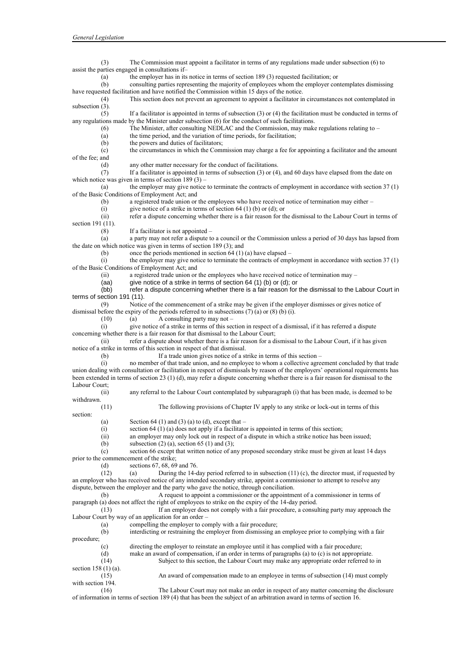(3) The Commission must appoint a facilitator in terms of any regulations made under subsection (6) to assist the parties engaged in consultations if– (a) the employer has in its notice in terms of section 189 (3) requested facilitation; or (b) consulting parties representing the majority of employees whom the employer contemplates dismissing have requested facilitation and have notified the Commission within 15 days of the notice.<br>(4) This section does not prevent an agreement to appoint a facilitator in This section does not prevent an agreement to appoint a facilitator in circumstances not contemplated in subsection (3). (5) If a facilitator is appointed in terms of subsection (3) or (4) the facilitation must be conducted in terms of any regulations made by the Minister under subsection (6) for the conduct of such facilitations. (6) The Minister, after consulting NEDLAC and the Commission, may make regulations relating to – (a) the time period, and the variation of time periods, for facilitation;<br>(b) the powers and duties of facilitators; the powers and duties of facilitators; (c) the circumstances in which the Commission may charge a fee for appointing a facilitator and the amount of the fee; and (d) any other matter necessary for the conduct of facilitations.  $(7)$  If a facilitator is appointed in terms of subsection (3) or (4), and 60 days have elapsed from the date on which notice was given in terms of section 189 (3) – (a) the employer may give notice to terminate the contracts of employment in accordance with section 37 (1) of the Basic Conditions of Employment Act; and (b) a registered trade union or the employees who have received notice of termination may either – (i) give notice of a strike in terms of section  $64$  (1) (b) or (d); or (ii) refer a dispute concerning whether there is a fair reason for the dismissal to the Labour Court in terms of section 191 (11).  $(8)$  If a facilitator is not appointed – (a) a party may not refer a dispute to a council or the Commission unless a period of 30 days has lapsed from the date on which notice was given in terms of section 189 (3); and (b) once the periods mentioned in section 64 (1) (a) have elapsed – (i) the employer may give notice to terminate the contracts of employment in accordance with section 37 (1) of the Basic Conditions of Employment Act; and (ii) a registered trade union or the employees who have received notice of termination may – (a) or (d) or (d) or (d) or (d) or (d) is or (d) is or (d) is or (d) is or (d) is or (d) is or (d) is or (d) is or (d) is or (d) give notice of a strike in terms of section 64 (1) (b) or (d); or (bb) refer a dispute concerning whether there is a fair reason for the dismissal to the Labour Court in terms of section 191 (11).<br>(9) Notice Notice of the commencement of a strike may be given if the employer dismisses or gives notice of dismissal before the expiry of the periods referred to in subsections  $(7)$  (a) or  $(8)$  (b) (i).  $(10)$  (a) A consulting party may not – (i) give notice of a strike in terms of this section in respect of a dismissal, if it has referred a dispute concerning whether there is a fair reason for that dismissal to the Labour Court; (ii) refer a dispute about whether there is a fair reason for a dismissal to the Labour Court, if it has given notice of a strike in terms of this section in respect of that dismissal. (b) If a trade union gives notice of a strike in terms of this section – (i) no member of that trade union, and no employee to whom a collective agreement concluded by that trade union dealing with consultation or facilitation in respect of dismissals by reason of the employers' operational requirements has been extended in terms of section 23 (1) (d), may refer a dispute concerning whether there is a fair reason for dismissal to the Labour Court; (ii) any referral to the Labour Court contemplated by subparagraph (i) that has been made, is deemed to be withdrawn. (11) The following provisions of Chapter IV apply to any strike or lock-out in terms of this section: (a) Section 64 (1) and (3) (a) to (d), except that  $-$ (i) section 64 (1) (a) does not apply if a facilitator is appointed in terms of this section; (ii) an employer may only lock out in respect of a dispute in which a strike notice has been issued; (b) subsection  $(2)$  (a), section 65 (1) and (3); (c) section 66 except that written notice of any proposed secondary strike must be given at least 14 days prior to the commencement of the strike; (d) sections 67, 68, 69 and 76.  $(12)$  (a) During the 14-day period referred to in subsection  $(11)$  (c), the director must, if requested by an employer who has received notice of any intended secondary strike, appoint a commissioner to attempt to resolve any dispute, between the employer and the party who gave the notice, through conciliation. (b) A request to appoint a commissioner or the appointment of a commissioner in terms of paragraph (a) does not affect the right of employees to strike on the expiry of the 14-day period. (13) If an employer does not comply with a fair procedure, a consulting party may approach the Labour Court by way of an application for an order – (a) compelling the employer to comply with a fair procedure; (b) interdicting or restraining the employer from dismissing an employee prior to complying with a fair procedure; (c) directing the employer to reinstate an employee until it has complied with a fair procedure; (d) make an award of compensation, if an order in terms of paragraphs (a) to (c) is not appropriate. (14) Subject to this section, the Labour Court may make any appropriate order referred to in section 158 (1) (a).

(15) An award of compensation made to an employee in terms of subsection (14) must comply with section 194.

(16) The Labour Court may not make an order in respect of any matter concerning the disclosure of information in terms of section 189 (4) that has been the subject of an arbitration award in terms of section 16.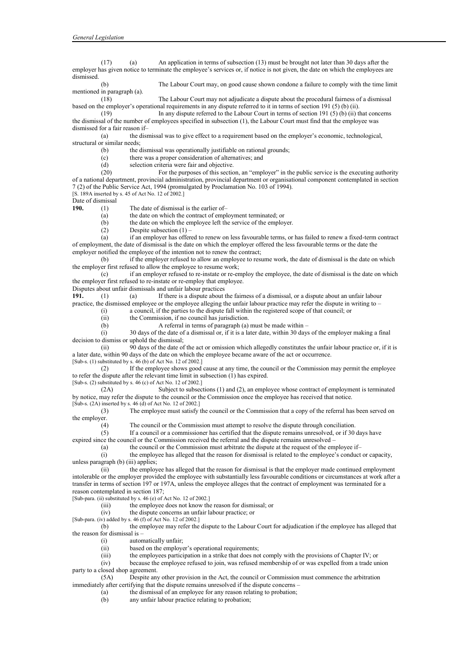(17) (a) An application in terms of subsection (13) must be brought not later than 30 days after the employer has given notice to terminate the employee's services or, if notice is not given, the date on which the employees are dismissed.

(b) The Labour Court may, on good cause shown condone a failure to comply with the time limit mentioned in paragraph (a).

(18) The Labour Court may not adjudicate a dispute about the procedural fairness of a dismissal based on the employer's operational requirements in any dispute referred to it in terms of section 191 (5) (b) (ii).

(19) In any dispute referred to the Labour Court in terms of section 191 (5) (b) (ii) that concerns the dismissal of the number of employees specified in subsection (1), the Labour Court must find that the employee was dismissed for a fair reason if–

(a) the dismissal was to give effect to a requirement based on the employer's economic, technological, structural or similar needs;

(b) the dismissal was operationally justifiable on rational grounds;

(c) there was a proper consideration of alternatives; and

(d) selection criteria were fair and objective.

(20) For the purposes of this section, an "employer" in the public service is the executing authority of a national department, provincial administration, provincial department or organisational component contemplated in section 7 (2) of the Public Service Act, 1994 (promulgated by Proclamation No. 103 of 1994). [S. 189A inserted by s. 45 of Act No. 12 of 2002.]

Date of dismissal

190. (1) The date of dismissal is the earlier of–

(a) the date on which the contract of employment terminated; or

(b) the date on which the employee left the service of the employer.

(2) Despite subsection (1) –

(a) if an employer has offered to renew on less favourable terms, or has failed to renew a fixed-term contract of employment, the date of dismissal is the date on which the employer offered the less favourable terms or the date the employer notified the employee of the intention not to renew the contract;

(b) if the employer refused to allow an employee to resume work, the date of dismissal is the date on which the employer first refused to allow the employee to resume work;

(c) if an employer refused to re-instate or re-employ the employee, the date of dismissal is the date on which the employer first refused to re-instate or re-employ that employee.

Disputes about unfair dismissals and unfair labour practices  $191$  (a) If there is a dispute about 1

**191.** (1) (a) If there is a dispute about the fairness of a dismissal, or a dispute about an unfair labour practice, the dismissed employee or the employee alleging the unfair labour practice may refer the dispute in writing to –

- (i) a council, if the parties to the dispute fall within the registered scope of that council; or
- (ii) the Commission, if no council has jurisdiction.

(b) A referral in terms of paragraph (a) must be made within –

(i) 30 days of the date of a dismissal or, if it is a later date, within 30 days of the employer making a final decision to dismiss or uphold the dismissal;

(ii) 90 days of the date of the act or omission which allegedly constitutes the unfair labour practice or, if it is a later date, within 90 days of the date on which the employee became aware of the act or occurrence.

[Sub-s. (1) substituted by s. 46 (b) of Act No. 12 of 2002.]

(2) If the employee shows good cause at any time, the council or the Commission may permit the employee to refer the dispute after the relevant time limit in subsection (1) has expired.

[Sub-s. (2) substituted by s. 46 (c) of Act No. 12 of 2002.]

(2A) Subject to subsections (1) and (2), an employee whose contract of employment is terminated by notice, may refer the dispute to the council or the Commission once the employee has received that notice. [Sub-s. (2A) inserted by s. 46 (d) of Act No. 12 of 2002.]

(3) The employee must satisfy the council or the Commission that a copy of the referral has been served on the employer.

(4) The council or the Commission must attempt to resolve the dispute through conciliation.

(5) If a council or a commissioner has certified that the dispute remains unresolved, or if 30 days have

expired since the council or the Commission received the referral and the dispute remains unresolved –<br>(a) the council or the Commission must arbitrate the dispute at the request of the en the council or the Commission must arbitrate the dispute at the request of the employee if–

(i) the employee has alleged that the reason for dismissal is related to the employee's conduct or capacity, unless paragraph (b) (iii) applies;

(ii) the employee has alleged that the reason for dismissal is that the employer made continued employment intolerable or the employer provided the employee with substantially less favourable conditions or circumstances at work after a transfer in terms of section 197 or 197A, unless the employee alleges that the contract of employment was terminated for a reason contemplated in section 187;

[Sub-para. (ii) substituted by s. 46 (e) of Act No. 12 of 2002.]

(iii) the employee does not know the reason for dismissal; or (iv) the dispute concerns an unfair labour practice; or

the dispute concerns an unfair labour practice; or

[Sub-para. (iv) added by s. 46 (f) of Act No. 12 of 2002.]<br>(b) the employee may refer the

(b) the employee may refer the dispute to the Labour Court for adjudication if the employee has alleged that the reason for dismissal is –

(i) automatically unfair;

(ii) based on the employer's operational requirements;

(iii) the employees participation in a strike that does not comply with the provisions of Chapter IV; or

(iv) because the employee refused to join, was refused membership of or was expelled from a trade union party to a closed shop agreement.

(5A) Despite any other provision in the Act, the council or Commission must commence the arbitration immediately after certifying that the dispute remains unresolved if the dispute concerns –

(a) the dismissal of an employee for any reason relating to probation;

(b) any unfair labour practice relating to probation;